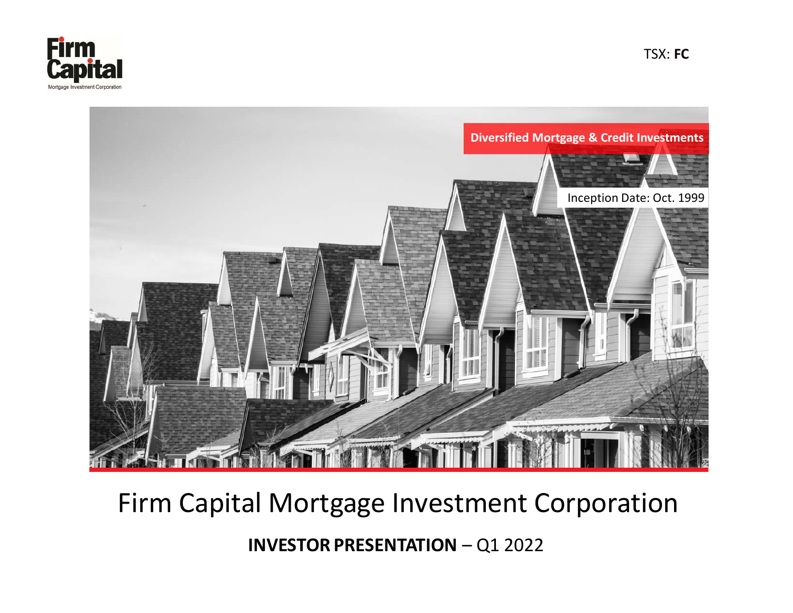



# Firm Capital Mortgage Investment Corporation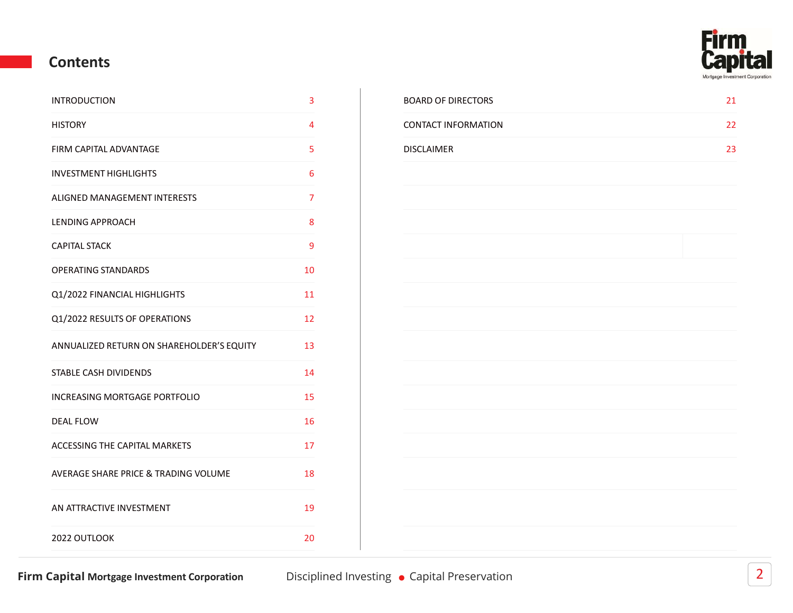

#### Contents

| <b>INTRODUCTION</b>                       | 3              | <b>BOARD OF DIRECT</b> |
|-------------------------------------------|----------------|------------------------|
| <b>HISTORY</b>                            | 4              | <b>CONTACT INFORM</b>  |
| FIRM CAPITAL ADVANTAGE                    | 5              | <b>DISCLAIMER</b>      |
| <b>INVESTMENT HIGHLIGHTS</b>              | 6              |                        |
| ALIGNED MANAGEMENT INTERESTS              | $\overline{7}$ |                        |
| <b>LENDING APPROACH</b>                   | 8              |                        |
| <b>CAPITAL STACK</b>                      | 9              |                        |
| <b>OPERATING STANDARDS</b>                | 10             |                        |
| Q1/2022 FINANCIAL HIGHLIGHTS              | 11             |                        |
| Q1/2022 RESULTS OF OPERATIONS             | 12             |                        |
| ANNUALIZED RETURN ON SHAREHOLDER'S EQUITY | 13             |                        |
| STABLE CASH DIVIDENDS                     | 14             |                        |
| INCREASING MORTGAGE PORTFOLIO             | 15             |                        |
| <b>DEAL FLOW</b>                          | 16             |                        |
| ACCESSING THE CAPITAL MARKETS             | 17             |                        |
| AVERAGE SHARE PRICE & TRADING VOLUME      | 18             |                        |
| AN ATTRACTIVE INVESTMENT                  | 19             |                        |
| 2022 OUTLOOK                              | 20             |                        |
|                                           |                |                        |

| INTRODUCTION           | <b>BOARD OF DIRECTORS</b>  | ᅀᆠ       |
|------------------------|----------------------------|----------|
| HISTORY                | <b>CONTACT INFORMATION</b> |          |
| FIRM CAPITAL ADVANTAGE | DISCLAIMER                 | <u> </u> |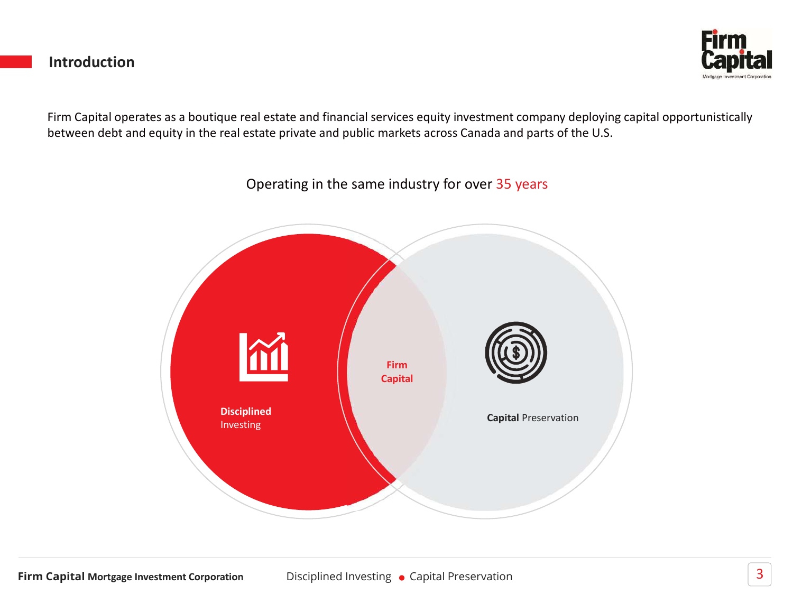#### Introduction



Firm Capital operates as a boutique real estate and financial services equity investment company deploying capital opportunistically between debt and equity in the real estate private and public markets across Canada and parts of the U.S.

> **Disciplined Capital Preservation** Investing Firm **NOW THE REAL PROPERTY** Capital

#### Operating in the same industry for over 35 years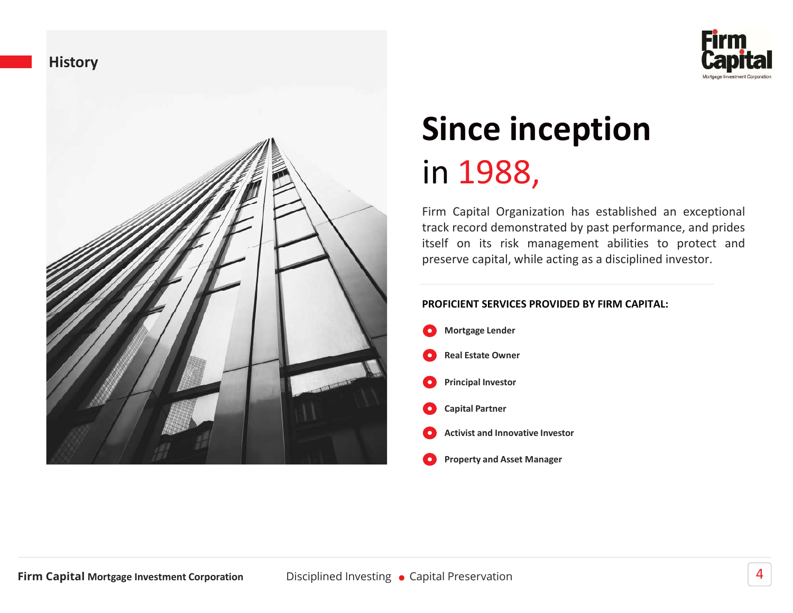



# Since inception in 1988,

**Since inception**<br> **Since inception**<br>
in 1988,<br>
Firm Capital Organization has established an exceptional<br>
track record demonstrated by past performance, and prides<br>
tiself on its risk management abilities to protect and<br>
p **Since inception**<br> **Since inception**<br> **in 1988,**<br>
Firm Capital Organization has established an exceptional<br>
track record demonstrated by past performance, and prides<br>
itself on its risk management abilities to protect and<br> **Since inception**<br>**Since inception**<br>in 1988,<br>Firm Capital Organization has established an exceptional<br>track record demonstrated by past performance, and prides<br>preserve capital, while acting as a disciplined investor.<br>PROF **Since inception**<br>Since inception<br>in 1988,<br>Firm Capital Organization has established an exceptional<br>track record demonstrated by past performance, and prides<br>tiself on its risk management abilities to protect and<br>preserve

#### PROFICIENT SERVICES PROVIDED BY FIRM CAPITAL:

Mortgage Lender Principal Investor Capital Partner Activist and Innovative Investor Property and Asset Manager Real Estate Owner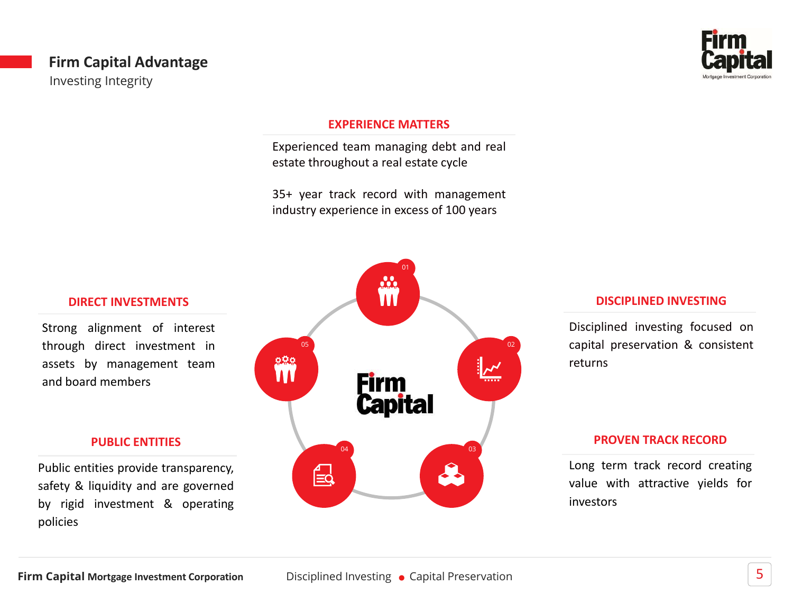#### Firm Capital Advantage Investing Integrity



#### EXPERIENCE MATTERS

EXPERIENCE MATTERS<br>
EXPERIENCE MATTERS<br>
Experienced team managing debt and real<br>
estate throughout a real estate cycle<br>
35+ year track record with management<br>
industry experience in excess of 100 years EXPERIENCE MATTERS<br>Experienced team managing debt and real<br>estate throughout a real estate cycle<br>35+ year track record with management<br>industry experience in excess of 100 years EXPERIENCE MATTERS<br>Experienced team managing debt and real<br>estate throughout a real estate cycle<br>35+ year track record with management<br>industry experience in excess of 100 years



#### DISCIPLINED INVESTING

DISCIPLINED INVESTING<br>Disciplined investing focused on<br>capital preservation & consistent<br>returns DISCIPLINED INVESTING<br>Disciplined investing focused on<br>capital preservation & consistent<br>returns returns DISCIPLINED INVESTING<br>Disciplined investing focused on<br>capital preservation & consistent<br>returns<br>PROVEN TRACK RECORD<br>Long term track record creating<br>value with attractive yields for<br>investors **DISCIPLINED INVESTING**<br>Disciplined investing focused on<br>capital preservation & consistent<br>returns<br>PROVEN TRACK RECORD<br>Long term track record creating<br>value with attractive yields for<br>investors capital preservation & consistent

#### PROVEN TRACK RECORD

investors

#### DIRECT INVESTMENTS

#### PUBLIC ENTITIES

policies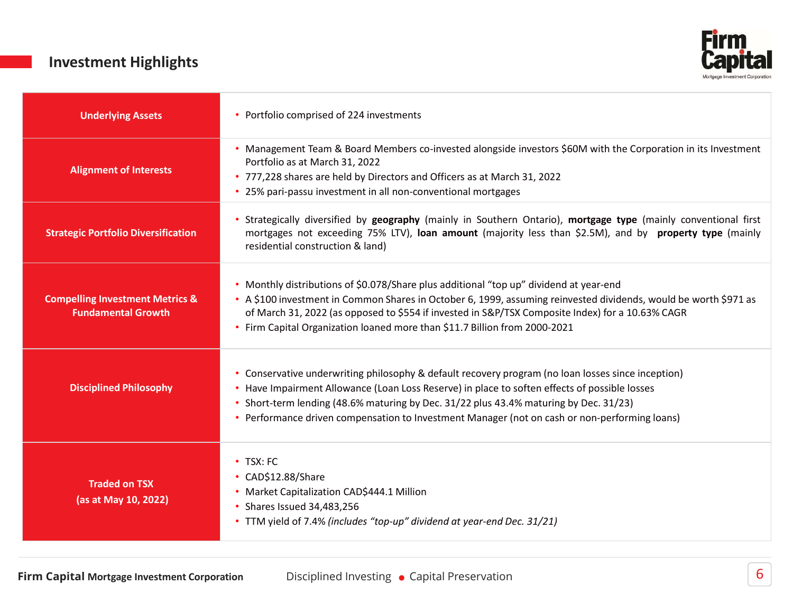#### Investment Highlights



| <b>Investment Highlights</b>                                            | -Irm                                                                                                                                                                                                                                                                                                                                                                                         |
|-------------------------------------------------------------------------|----------------------------------------------------------------------------------------------------------------------------------------------------------------------------------------------------------------------------------------------------------------------------------------------------------------------------------------------------------------------------------------------|
| <b>Underlying Assets</b>                                                | • Portfolio comprised of 224 investments                                                                                                                                                                                                                                                                                                                                                     |
| <b>Alignment of Interests</b>                                           | • Management Team & Board Members co-invested alongside investors \$60M with the Corporation in its Investment<br>Portfolio as at March 31, 2022<br>• 777,228 shares are held by Directors and Officers as at March 31, 2022<br>25% pari-passu investment in all non-conventional mortgages                                                                                                  |
| <b>Strategic Portfolio Diversification</b>                              | Strategically diversified by geography (mainly in Southern Ontario), mortgage type (mainly conventional first<br>mortgages not exceeding 75% LTV), loan amount (majority less than \$2.5M), and by property type (mainly<br>residential construction & land)                                                                                                                                 |
| <b>Compelling Investment Metrics &amp;</b><br><b>Fundamental Growth</b> | • Monthly distributions of \$0.078/Share plus additional "top up" dividend at year-end<br>• A \$100 investment in Common Shares in October 6, 1999, assuming reinvested dividends, would be worth \$971 as<br>of March 31, 2022 (as opposed to \$554 if invested in S&P/TSX Composite Index) for a 10.63% CAGR<br>• Firm Capital Organization loaned more than \$11.7 Billion from 2000-2021 |
| <b>Disciplined Philosophy</b>                                           | Conservative underwriting philosophy & default recovery program (no loan losses since inception)<br>• Have Impairment Allowance (Loan Loss Reserve) in place to soften effects of possible losses<br>• Short-term lending (48.6% maturing by Dec. 31/22 plus 43.4% maturing by Dec. 31/23)<br>• Performance driven compensation to Investment Manager (not on cash or non-performing loans)  |
| <b>Traded on TSX</b><br>(as at May 10, 2022)                            | • TSX: FC<br>• CAD\$12.88/Share<br>· Market Capitalization CAD\$444.1 Million<br>• Shares Issued 34,483,256<br>• TTM yield of 7.4% (includes "top-up" dividend at year-end Dec. 31/21)                                                                                                                                                                                                       |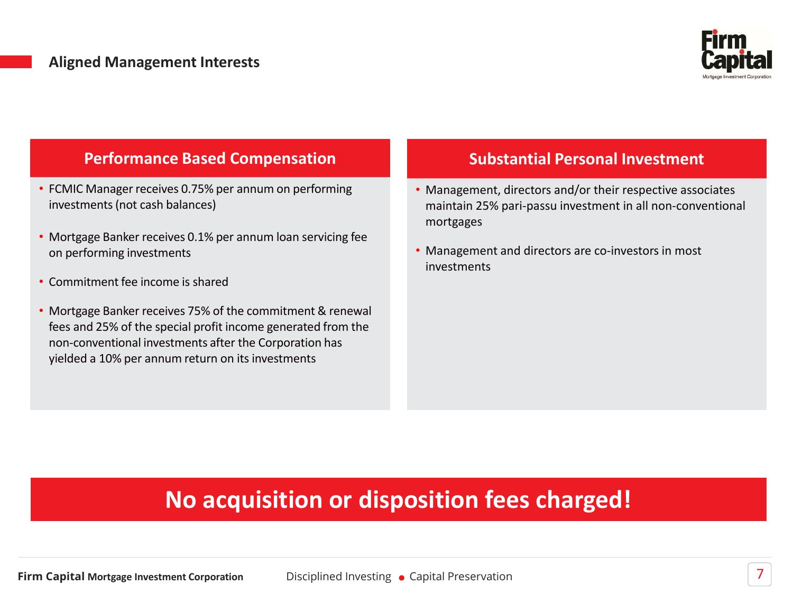

#### Performance Based Compensation

- FCMIC Manager receives 0.75% per annum on performing investments (not cash balances)
- Mortgage Banker receives 0.1% per annum loan servicing fee on performing investments
- Commitment fee income is shared
- Mortgage Banker receives 75% of the commitment & renewal fees and 25% of the special profit income generated from the non-conventional investments after the Corporation has yielded a 10% per annum return on its investments

#### Substantial Personal Investment

- Management, directors and/or their respective associates maintain 25% pari-passu investment in all non-conventional mortgages
- Management and directors are co-investors in most investments

# No acquisition or disposition fees charged!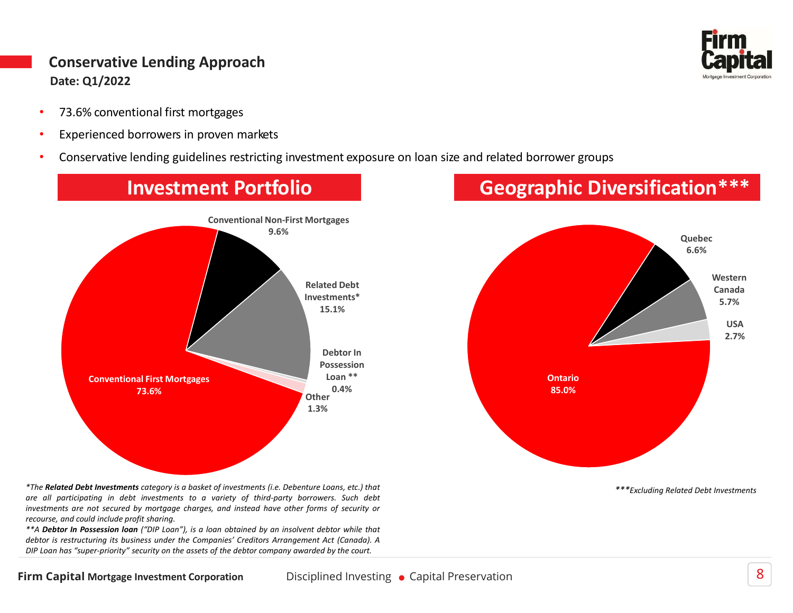# Conservative Lending Approach Conservative Lending Approach<br>
Date: 01/2022<br>
• 73.6% conventional first mortgages<br>
• Experienced borrowers in proven markets<br>
• Conservative lending guidelines restricting investment exposure on loan size and relate Date: Q1/2022

- 
- 
- 





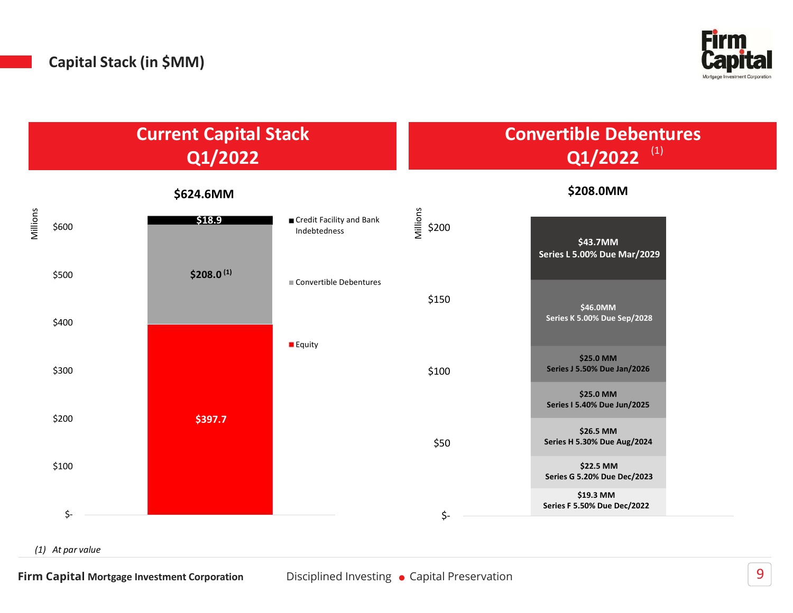

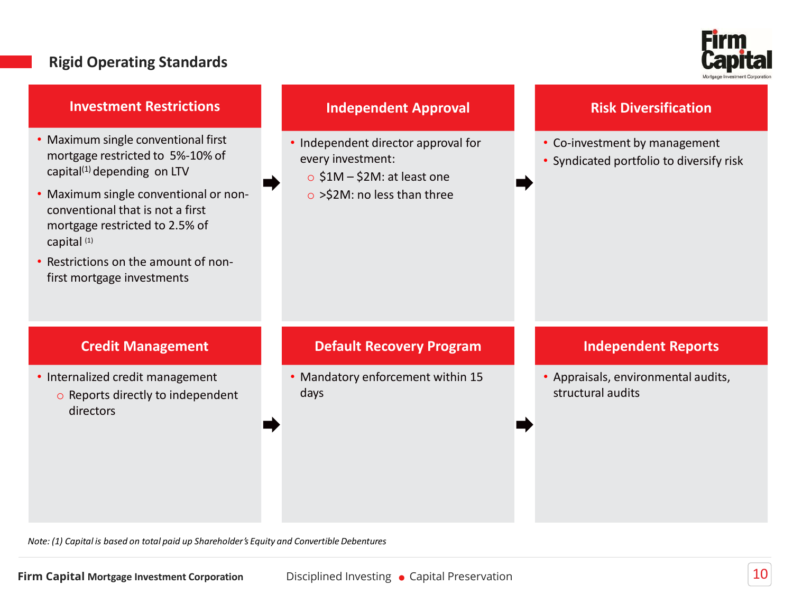#### Rigid Operating Standards



#### Investment Restrictions

- Maximum single conventional first Independent director approval for mortgage restricted to 5%-10% of capital<sup>(1)</sup> depending on LTV  $\qquad \qquad \qquad \circ$  \$1M - \$2M: at least one
- **Example 19 All Standards**<br>
 Maximum single conventional first<br>
 Maximum single conventional first<br>
 Independent director approximation<br>
capital<sup>(1)</sup> depending on LTV<br>
 Maximum single conventional or non-<br>
 Maximum s conventional that is not a first **Rigid Operating Standards**<br> **Investment Restrictions**<br> **Independent Approval**<br> **Maximum single conventional first**<br> **CONFICE ACTION**<br> **CONFICE ACTION**<br> **CONFICE ACTION**<br> **CONFICE ACTION**<br> **CONFICE ACTION**<br> **CONFICE ACTIO** capital (1) **Example 19 All Schemes Contains the amount of non-**<br> **Example 20** All Schemes Conventional first<br> **Example 20** All Schemes Conventional first<br> **Example 20** All Schemes Conventional or non-<br> **Example 20** All Schemes Conve Rigid Operating Standards<br>
Investment Restrictions<br>
Maximum single conventional first<br>
mortgage restricted to 5%-10% of<br>
capital<sup>(1)</sup> depending on LTV<br>
Maximum single conventional or non-<br>
Maximum single conventional or n • Maximum single conventional first<br>
• Independent director approval for capital<sup>(3)</sup> depending on LTV<br>
• Maximum single conventional or non-<br>
• Maximum single conventional or non-<br>
• Maximum single conventional or non-<br>
• ortgage restricted to 5%-10% of<br>
ortgage restricted to 5%-10% of<br>
laximum single conventional or non-<br>
laximum single conventional or non-<br>
ortgage restricted to 2.5% of<br>
ortgage restricted to 2.5% of<br>
ortgage restricted
- 

#### Independent Approval

- **Eirm**<br> **Capital**<br>
 Independent director approval for<br>
 Co-investment by management<br>
 Co-investment by management<br>
 Syndicated portfolio to diversify risk<br>
 SiM SiM: at least one<br>
 SiM SiM: no less than three every investment: **Firm**<br> **Capiture Capital**<br>
Independent director approval for<br>
very investment:<br>
o \$1M – \$2M: at least one<br>
o >\$2M: no less than three<br>
o >\$2M: no less than three
	-
	- o >\$2M: no less than three

#### Risk Diversification

- 
- 

#### Credit Management

Credit Management<br>
• Internalized credit management<br>
• Mandatory enforcement within 15<br>
• Capital structural audits<br>
• Capital structural audits<br>
• Capital Structures<br>
• Note:<br>
1) Copital is based on total paid up Sharehol directors

#### Default Recovery Program

• Independent director approval for<br>
• Co-investment by management<br>
• Syndicated portfolio to diversify risk<br>
• S2M: no less than three<br>
• S2M: no less than three<br>
• Mandatory enforcement within 15<br>
• Mandatory enforcement days

#### Independent Reports

• Co-investment by management<br>• Syndicated portfolio to diversify risk<br><br><br><br><br>**Independent Reports**<br>• Appraisals, environmental audits,<br>structural audits Co-Investment by management<br>Syndicated portfolio to diversify risk<br>**Independent Reports**<br>Appraisals, environmental audits,<br>structural audits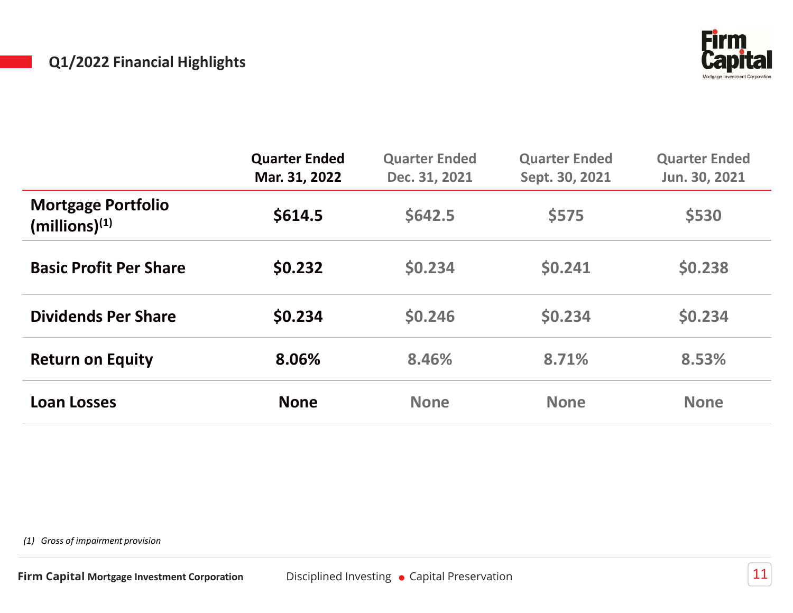#### Q1/2022 Financial Highlights



| Q1/2022 Financial Highlights                           |                                       |                                              |                                        | <b>Firm</b><br><b>apital</b>          |
|--------------------------------------------------------|---------------------------------------|----------------------------------------------|----------------------------------------|---------------------------------------|
|                                                        | <b>Quarter Ended</b><br>Mar. 31, 2022 | <b>Quarter Ended</b><br>Dec. 31, 2021        | <b>Quarter Ended</b><br>Sept. 30, 2021 | <b>Quarter Ended</b><br>Jun. 30, 2021 |
| <b>Mortgage Portfolio</b><br>(millions) <sup>(1)</sup> | \$614.5                               | \$642.5                                      | \$575                                  | \$530                                 |
| <b>Basic Profit Per Share</b>                          | \$0.232                               | \$0.234                                      | \$0.241                                | \$0.238                               |
| <b>Dividends Per Share</b>                             | \$0.234                               | \$0.246                                      | \$0.234                                | \$0.234                               |
| <b>Return on Equity</b>                                | 8.06%                                 | 8.46%                                        | 8.71%                                  | 8.53%                                 |
| <b>Loan Losses</b>                                     | <b>None</b>                           | <b>None</b>                                  | <b>None</b>                            | <b>None</b>                           |
| (1) Gross of impairment provision                      |                                       |                                              |                                        |                                       |
| irm Capital Mortgage Investment Corporation            |                                       | Disciplined Investing • Capital Preservation |                                        | $11\,$                                |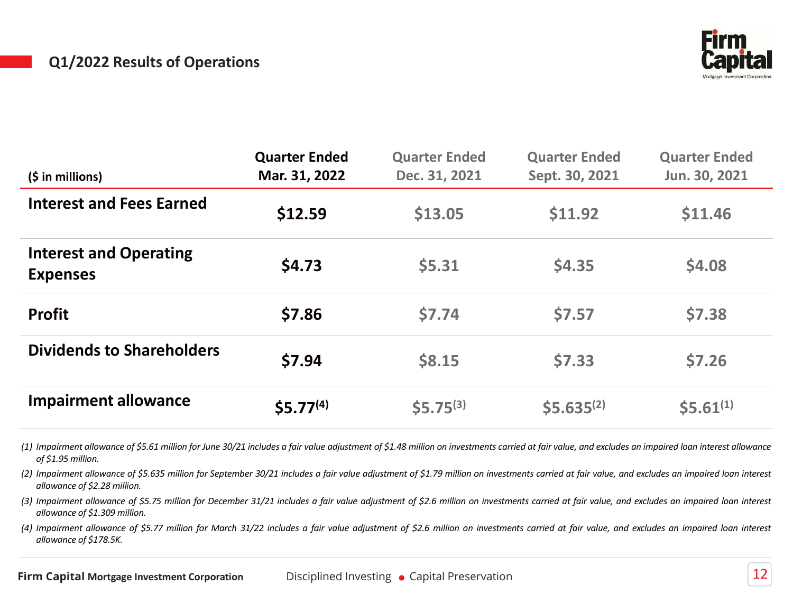#### Q1/2022 Results of Operations



|         |                                                         |                                        | <b>Capital</b>                                                                                                                                                                                                                                                                                                                                                                                                                                                                                                                                                                                                                                                                                                                                                                                      |
|---------|---------------------------------------------------------|----------------------------------------|-----------------------------------------------------------------------------------------------------------------------------------------------------------------------------------------------------------------------------------------------------------------------------------------------------------------------------------------------------------------------------------------------------------------------------------------------------------------------------------------------------------------------------------------------------------------------------------------------------------------------------------------------------------------------------------------------------------------------------------------------------------------------------------------------------|
|         | <b>Quarter Ended</b><br>Dec. 31, 2021                   | <b>Quarter Ended</b><br>Sept. 30, 2021 | <b>Quarter Ended</b><br>Jun. 30, 2021                                                                                                                                                                                                                                                                                                                                                                                                                                                                                                                                                                                                                                                                                                                                                               |
| \$12.59 | \$13.05                                                 | \$11.92                                | \$11.46                                                                                                                                                                                                                                                                                                                                                                                                                                                                                                                                                                                                                                                                                                                                                                                             |
| \$4.73  | \$5.31                                                  | \$4.35                                 | \$4.08                                                                                                                                                                                                                                                                                                                                                                                                                                                                                                                                                                                                                                                                                                                                                                                              |
| \$7.86  | \$7.74                                                  | \$7.57                                 | \$7.38                                                                                                                                                                                                                                                                                                                                                                                                                                                                                                                                                                                                                                                                                                                                                                                              |
| \$7.94  | \$8.15                                                  | \$7.33                                 | \$7.26                                                                                                                                                                                                                                                                                                                                                                                                                                                                                                                                                                                                                                                                                                                                                                                              |
|         | $$5.75^{(3)}$$                                          | $$5.635^{(2)}$$                        | $$5.61^{(1)}$$                                                                                                                                                                                                                                                                                                                                                                                                                                                                                                                                                                                                                                                                                                                                                                                      |
|         |                                                         |                                        |                                                                                                                                                                                                                                                                                                                                                                                                                                                                                                                                                                                                                                                                                                                                                                                                     |
|         | <b>Quarter Ended</b><br>Mar. 31, 2022<br>$$5.77^{(4)}$$ |                                        | (1) Impairment allowance of \$5.61 million for June 30/21 includes a fair value adjustment of \$1.48 million on investments carried at fair value, and excludes an impaired loan interest allowance<br>(2) Impairment allowance of \$5.635 million for September 30/21 includes a fair value adjustment of \$1.79 million on investments carried at fair value, and excludes an impaired loan interest<br>(3) Impairment allowance of \$5.75 million for December 31/21 includes a fair value adjustment of \$2.6 million on investments carried at fair value, and excludes an impaired loan interest<br>(4) Impairment allowance of \$5.77 million for March 31/22 includes a fair value adjustment of \$2.6 million on investments carried at fair value, and excludes an impaired loan interest |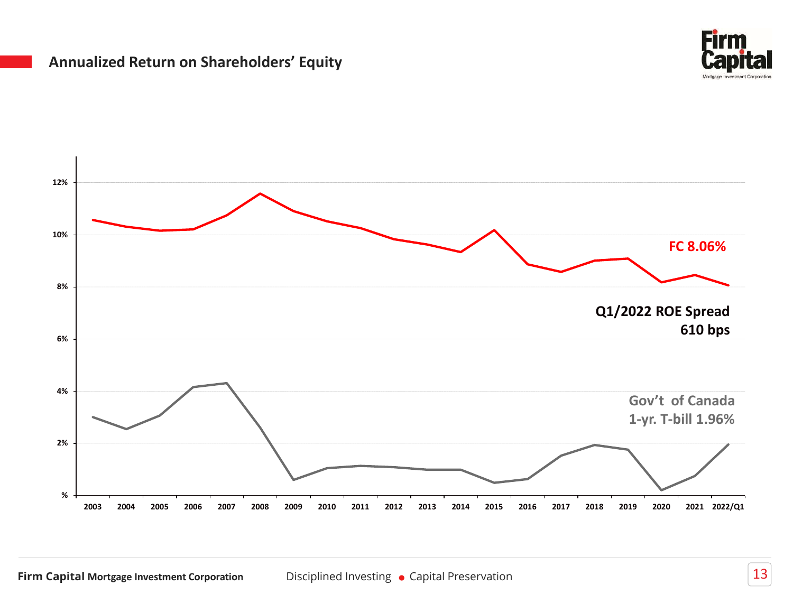#### Annualized Return on Shareholders' Equity



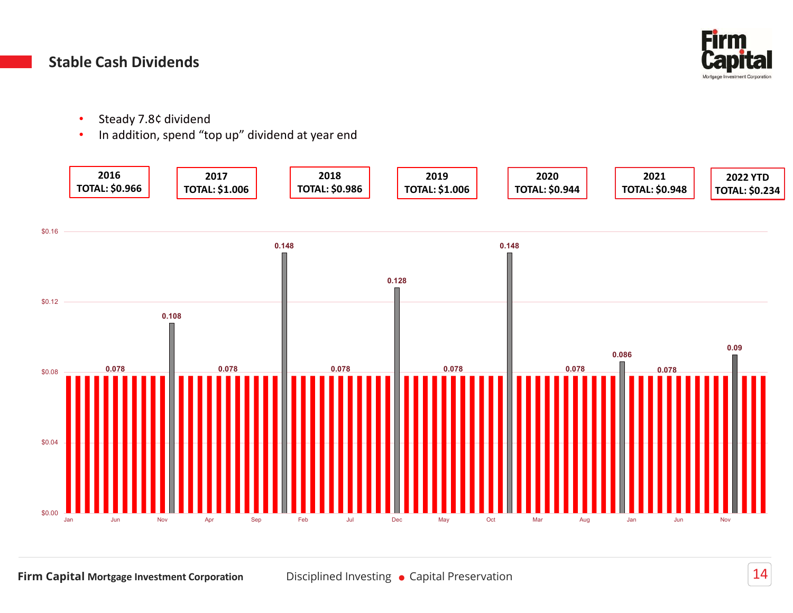

#### Stable Cash Dividends

- 
- 

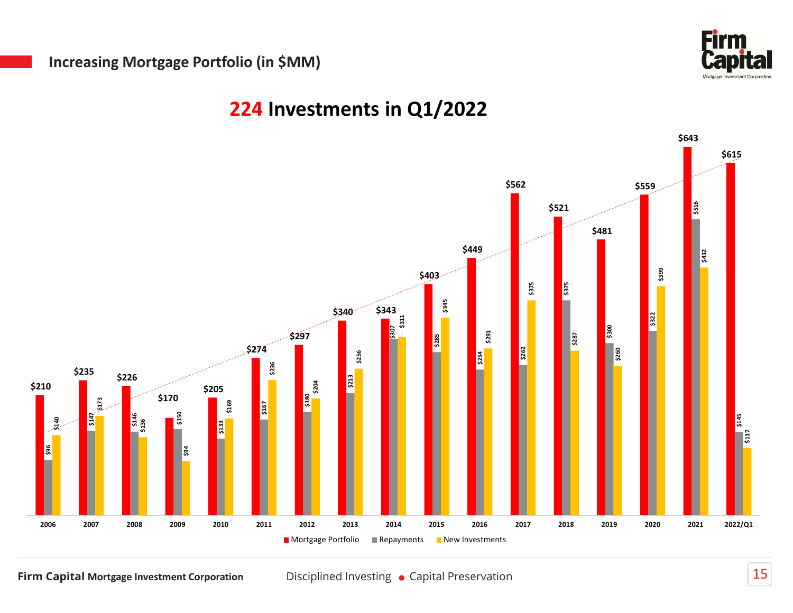

## 224 Investments in Q1/2022

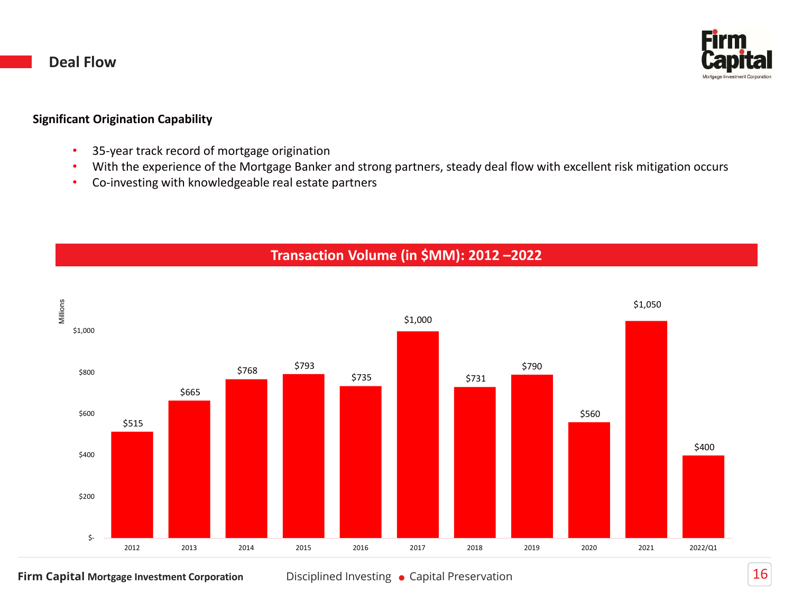#### Deal Flow



- 
- **Deal Flow<br>Significant Origination Capability<br>• 35-year track record of mortgage origination<br>• With the experience of the Mortgage Banker and strong partners, steady<br>• Co-investing with knowledgeable real estate partners ant Origination Capability**<br>• 35-year track record of mortgage origination<br>• With the experience of the Mortgage Banker and strong partners, steady deal flow with excelle<br>• Co-investing with knowledgeable real estate part **• With the experience of the Mortgage origination**<br>• With the experience of the Mortgage origination<br>• With the experience of the Mortgage Banker and strong partners, steady deal flow with excellent risk mitigation occurs **1 Flow<br>• Co-investing With Knowledgeable real estate partners**, steady deal flow with excellent risk mitig<br>• Co-investing with knowledgeable real estate partners<br>• Co-investing with knowledgeable real estate partners<br>• Tr
	-

#### Transaction Volume (in \$MM): 2012 –2022



Firm Capital Mortgage Investment Corporation Disciplined Investing • Capital Preservation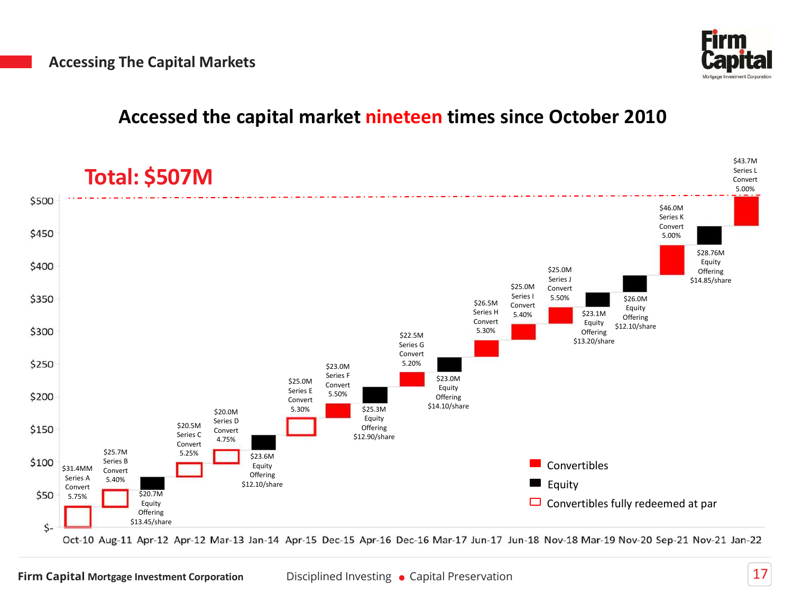

### Accessed the capital market nineteen times since October 2010



Oct-10 Aug-11 Apr-12 Apr-12 Mar-13 Jan-14 Apr-15 Dec-15 Apr-16 Dec-16 Mar-17 Jun-17 Jun-18 Nov-18 Mar-19 Nov-20 Sep-21 Nov-21 Jan-22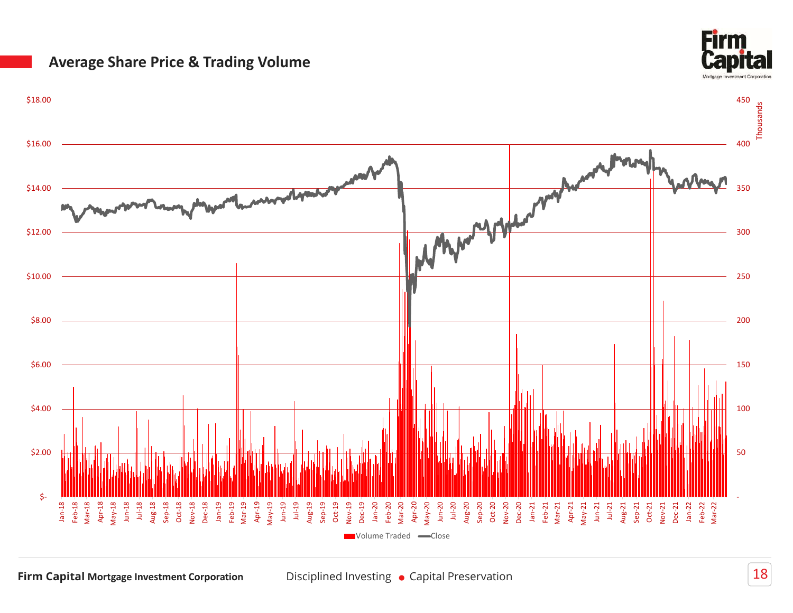#### Average Share Price & Trading Volume



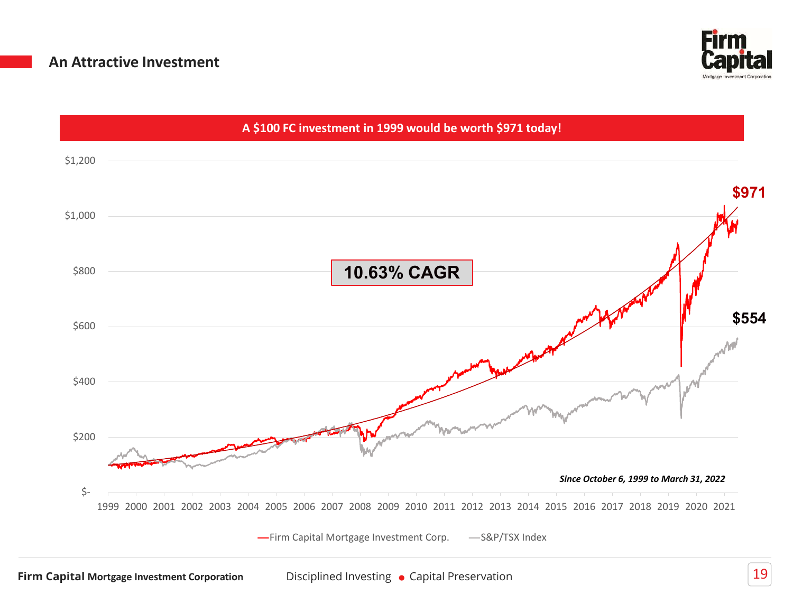

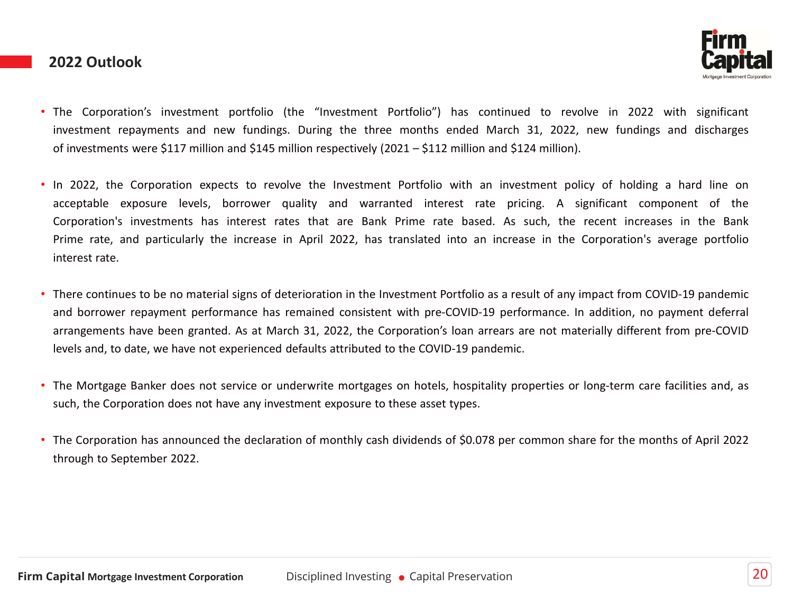#### 2022 Outlook



- The Corporation's investment portfolio (the "Investment Portfolio") has continued to revolve in 2022 with significant investment repayments and new fundings. During the three months ended March 31, 2022, new fundings and **Eirm**<br>The Corporation's investment portfolio (the "Investment Portfolio") has continued to revolve in 2022 with significant<br>investment repayments and new fundings. During the three months ended March 31, 2022, new fundin
- **2022 Outlook**<br> **Eightanor Example 10**<br> **Capital**<br> **Capital**<br> **Capital**<br> **Capital**<br> **Capital**<br> **Capital**<br> **Capital**<br> **Capital**<br> **Capital**<br> **Capital**<br> **Capital**<br> **Capital**<br> **Capital**<br> **Capital**<br> **Capital**<br> **Capital**<br> **Capi ETTM**<br>The Corporation's investment portfolio (the "Investment Portfolio") has continued to revolve in 2022 with significant<br>investment repayments and new fundings. During the three months ended March 31, 2022, new funding **Corporation's investment portfolio (the "investment Portfolio") has continued to revolve in 2022 with significant investment repayments and new fundings. During the three months ended March 31, 2022, new fundings and disc Prime 1992 Dutlook**<br>
The Corporation's investment portfolio (the "Investment Portfolio") has continued to revolve in 2022 with significant<br>
investment repayments and new fundings. During the three months ended March 31, 2 **Example 10.12 and the material signs of deterioration in the Investment Portfolio as a result of any impact from 2022 with significant investments were \$117 million and \$145 million respectively (2021 – \$112 million and** EXECTED COVIDIOOK<br>
The Corporation's investment portfolio (the "Investment Portfolio") has continued to revolve in 2022 with significant<br>
investment repayments and new fundings. During the three months ended March 31, 2022 The Corporation's investment portfolio (the "Investment Portfolio") has continued to revolve in 2022 with significant<br>investment repayments and new fundings. During the three months ended March 31, 2022, new fundings and d • The Corporation's investment portfolio (the "investment Portfolio") has continued to revolve in 2022 with significant investment repayments and new fundings. During the three months ended March 31, 2022, new fundings and such, the Corporation does not have any investment exposure to the investment policy of holding a hard line on<br>acceptable exposure levels, borrower quality and warranted interest rate pricing. A significant component of th
- Corporation's investments has interest rates that are Bank Prime rate based.<br>
Prime rate, and particularly the increase in April 2022, has translated into an interest rate.<br>
There continues to be no material signs of deter
- 
-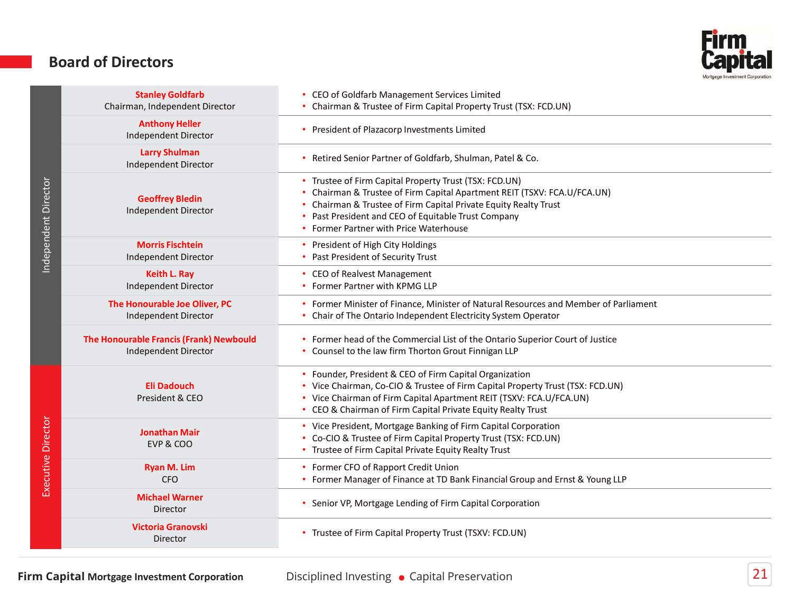#### Board of Directors



|                      | <b>Board of Directors</b>                                       |                                                                                                                                                                                                                                                                                                 |  |
|----------------------|-----------------------------------------------------------------|-------------------------------------------------------------------------------------------------------------------------------------------------------------------------------------------------------------------------------------------------------------------------------------------------|--|
|                      | <b>Stanley Goldfarb</b><br>Chairman, Independent Director       | CEO of Goldfarb Management Services Limited<br>Chairman & Trustee of Firm Capital Property Trust (TSX: FCD.UN)                                                                                                                                                                                  |  |
| Independent Director | <b>Anthony Heller</b><br>Independent Director                   | President of Plazacorp Investments Limited                                                                                                                                                                                                                                                      |  |
|                      | <b>Larry Shulman</b><br>Independent Director                    | Retired Senior Partner of Goldfarb, Shulman, Patel & Co.                                                                                                                                                                                                                                        |  |
|                      | <b>Geoffrey Bledin</b><br>Independent Director                  | • Trustee of Firm Capital Property Trust (TSX: FCD.UN)<br>Chairman & Trustee of Firm Capital Apartment REIT (TSXV: FCA.U/FCA.UN)<br>Chairman & Trustee of Firm Capital Private Equity Realty Trust<br>Past President and CEO of Equitable Trust Company<br>Former Partner with Price Waterhouse |  |
|                      | <b>Morris Fischtein</b><br>Independent Director                 | President of High City Holdings<br>Past President of Security Trust                                                                                                                                                                                                                             |  |
|                      | Keith L. Ray<br>Independent Director                            | • CEO of Realvest Management<br><b>Former Partner with KPMG LLP</b>                                                                                                                                                                                                                             |  |
|                      | The Honourable Joe Oliver, PC<br>Independent Director           | Former Minister of Finance, Minister of Natural Resources and Member of Parliament<br>• Chair of The Ontario Independent Electricity System Operator                                                                                                                                            |  |
|                      | The Honourable Francis (Frank) Newbould<br>Independent Director | • Former head of the Commercial List of the Ontario Superior Court of Justice<br>• Counsel to the law firm Thorton Grout Finnigan LLP                                                                                                                                                           |  |
|                      | <b>Eli Dadouch</b><br>President & CEO                           | • Founder, President & CEO of Firm Capital Organization<br>• Vice Chairman, Co-CIO & Trustee of Firm Capital Property Trust (TSX: FCD.UN)<br>• Vice Chairman of Firm Capital Apartment REIT (TSXV: FCA.U/FCA.UN)<br>• CEO & Chairman of Firm Capital Private Equity Realty Trust                |  |
| Executive Director   | <b>Jonathan Mair</b><br>EVP & COO                               | • Vice President, Mortgage Banking of Firm Capital Corporation<br>• Co-CIO & Trustee of Firm Capital Property Trust (TSX: FCD.UN)<br>• Trustee of Firm Capital Private Equity Realty Trust                                                                                                      |  |
|                      | <b>Ryan M. Lim</b><br><b>CFO</b>                                | • Former CFO of Rapport Credit Union<br>• Former Manager of Finance at TD Bank Financial Group and Ernst & Young LLP                                                                                                                                                                            |  |
|                      | <b>Michael Warner</b><br>Director                               | • Senior VP, Mortgage Lending of Firm Capital Corporation                                                                                                                                                                                                                                       |  |
|                      | <b>Victoria Granovski</b><br>Director                           | • Trustee of Firm Capital Property Trust (TSXV: FCD.UN)                                                                                                                                                                                                                                         |  |
|                      |                                                                 |                                                                                                                                                                                                                                                                                                 |  |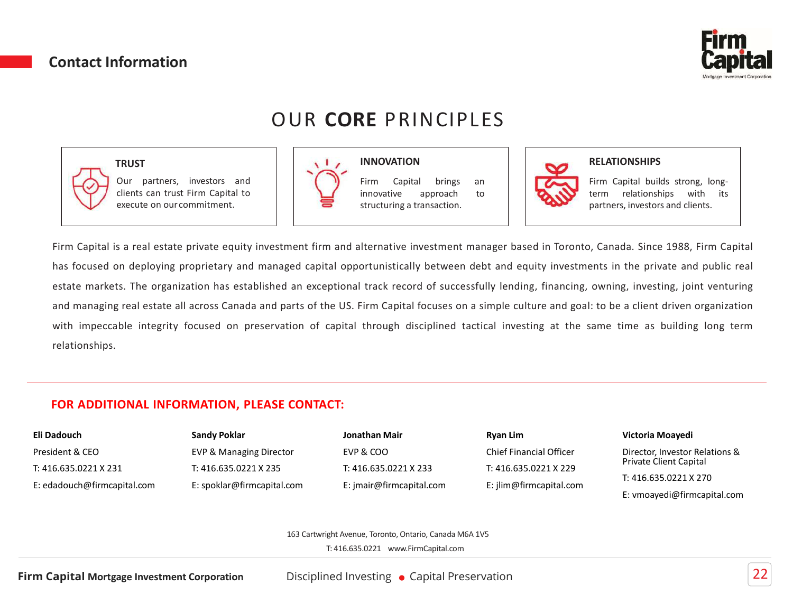#### Contact Information



# OUR CORE PRINCIPLES

INNOVATION

#### **TRUST**





#### **RELATIONSHIPS**

Firm Capital builds strong, long-<br>
Nortgage Investment Capparation<br>
Firm Capital builds strong, long-<br>
term relationships with its<br>
partners, investors and clients.<br>
, Canada. Since 1988, Firm Capital **Capital**<br> **Capital**<br> **RELATIONSHIPS**<br>
Firm Capital builds strong, long-<br>
relationships with its<br>
partners, investors and clients.<br>
, Canada. Since 1988, Firm Capital<br>
ents in the private and public real

FOR ADDITIONAL INFORMATION, PLEASE CONTACT:<br>
From Capital is a real estate private equity investment firm and alternative investment manager based in Toronto, Can<br>
from Capital is a real estate private equity investment fi Firm Capital is a real estate private equity investment firm and alternative investment manager based in Toronto, Canada. Since 1988, Firm Capital<br>
Firm Capital is a real estate private equity investment firm and alternati Contact Information<br>
Cour partners, investors and<br>
OUR CORE PRINCIPLES<br>
Form Capital opportunistically the movement of the US and the propriation.<br>
Firm Capital si a real estate private equity investment firm and alternati **Example 11 Contact Information**<br> **Example 12 Contact PRINCIPLES**<br>
THE CORE PRINCIPLES<br>
Our partners, investors and  $\frac{1}{2}$ <br>
our partners, investors and  $\frac{1}{2}$ <br>
Frim Capital is a real estate private equity investment Contact Information<br>
TRUST<br>
TRUST<br>
TRUST<br>
TRUST<br>
Conce partners, investors and<br>
cleans can roust Firm Capital to<br>
cleans can roust Firm Capital to<br>
cleans can roust Firm Capital to<br>
cleans can roust Firm Capital to<br>
Firm C WHIST TRUST<br>
TRUST<br>
TRUST<br>
Conceptions can trust Firm Gapital to<br>
clearls can trust Firm Gapital to<br>
clearls can trust Firm Gapital to<br>
execute on our commitment.<br>
Firm Gapital is a real estate private equity investment fi relationships. FRUST<br>
OUR CORE PRINCIPLES<br>
Our partners, investors and<br>
Clients can trust Firm Capital to<br>
Eleients can trust Firm Capital to<br>
Eleients can trust Firm Capital to<br>
Sexecute on our commitment.<br>
Sexecute on the structuring a formation<br>
CUR CORE PRINCIPLES<br>
TRUST<br>
Our partners, investors and<br>
Clients can trust Firm Capital to<br>
execute on our commitment.<br>
So a real estate private equity investment firm and alternative investment manager based in FINCIPLE<br>
TRUST<br>
OUR CORE PRINCIPLE<br>
TRUST<br>
Execute on our commitment.<br>
Sexecute on our commitment.<br>
Sexecute on our commitment.<br>
Sexecute on our commitment.<br>
Sexecute on our commitment.<br>
Sexecute on our commitment.<br>
Sexec E PRINCIPLES<br>
INNOVATION<br>
Firm Capital brings an<br>
innovative approach to<br>
structuring a transaction.<br>
Iternative investment manager based in Toronto, Canada. Since 1988, Firm Capital<br>
Iternative investment manager based in E PRINCIPLES<br>
INNOVATION<br>
Firm Capital brings an<br>
innovative approach to<br>
structuring a transaction.<br>
Iternative investment manager based in Toronto, Canada. Since 1988, Firm Capital<br>
Iternative investment manager based in **EPRINCIPLES**<br>
STRINGIPLES<br>
STRINGIPLES<br>
INNOVATION<br>
Innovative approach to<br>
discussion.<br>
Internative investment manager based in Toronto, Canada. Since 1988, Firm Capit<br>
Iternative investment manager based in Toronto, Can **EITM**<br> **Capital**<br> **RELATIONSHIPS**<br>
Firm Capital builds strong, long-<br>
relationships with its<br>
partners, investors and clients.<br>
D, Canada. Since 1988, Firm Capital<br>
ents in the private and public real

| Eli Dadouch                 | <b>Sandy Poklar</b>                | Jonathan Mair   |
|-----------------------------|------------------------------------|-----------------|
| President & CEO             | <b>EVP &amp; Managing Director</b> | EVP & COO       |
| T: 416.635.0221 X 231       | T: 416.635.0221 X 235              | T: 416.635.0221 |
| E: edadouch@firmcapital.com | E: spoklar@firmcapital.com         | E: imair@firmca |

T: 416.635.0221 X 235 Sandy Poklar

T: 416.635.0221 X 235 Jonathan Mair E: jmair@firmcapital.com

Victoria Moayedi Ryan Lim EVP & COO Chief Financial Officer Director, Investo E: jlim@firmcapital.com

Director, Investor Relations & Private Client Capital T: 416.635.0221 X 233 T: 416.635.0221 X 229

T: 416.635.0221 X 270

E: vmoayedi@firmcapital.com

163 Cartwright Avenue, Toronto, Ontario, Canada M6A 1V5

T: 416.635.0221 www.FirmCapital.com